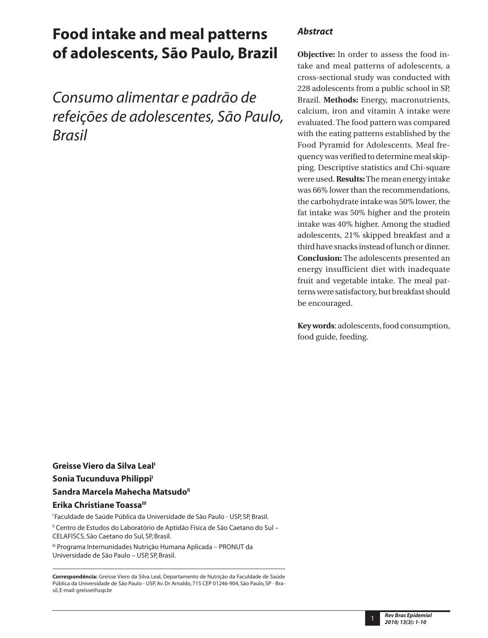# **Food intake and meal patterns of adolescents, São Paulo, Brazil**

*Consumo alimentar e padrão de refeições de adolescentes, São Paulo, Brasil*

## *Abstract*

**Objective:** In order to assess the food intake and meal patterns of adolescents, a cross-sectional study was conducted with 228 adolescents from a public school in SP, Brazil. **Methods:** Energy, macronutrients, calcium, iron and vitamin A intake were evaluated. The food pattern was compared with the eating patterns established by the Food Pyramid for Adolescents. Meal frequency was verified to determine meal skipping. Descriptive statistics and Chi-square were used. **Results:** The mean energy intake was 66% lower than the recommendations, the carbohydrate intake was 50% lower, the fat intake was 50% higher and the protein intake was 40% higher. Among the studied adolescents, 21% skipped breakfast and a third have snacks instead of lunch or dinner. **Conclusion:** The adolescents presented an energy insufficient diet with inadequate fruit and vegetable intake. The meal patterns were satisfactory, but breakfast should be encouraged.

**Key words**: adolescents, food consumption, food guide, feeding.

**Greisse Viero da Silva Leal' Sonia Tucunduva Philippi<sup>1</sup>** Sandra Marcela Mahecha Matsudo<sup>"</sup> **Erika Christiane Toassa**<sup>III</sup> <sup>1</sup> Faculdade de Saúde Pública da Universidade de São Paulo - USP, SP, Brasil. II Centro de Estudos do Laboratório de Aptidão Física de São Caetano do Sul –

CELAFISCS, São Caetano do Sul, SP, Brasil.

III Programa Internunidades Nutrição Humana Aplicada – PRONUT da Universidade de São Paulo – USP, SP, Brasil.

**Correspondência:** Greisse Viero da Silva Leal, Departamento de Nutrição da Faculdade de Saúde Pública da Universidade de São Paulo - USP, Av. Dr Arnaldo, 715 CEP 01246-904, São Paulo, SP - Brasil, E-mail: greisse@usp.br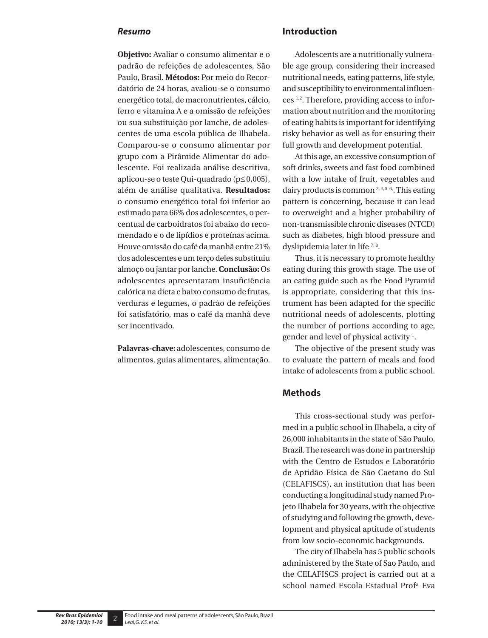#### *Resumo*

**Objetivo:** Avaliar o consumo alimentar e o padrão de refeições de adolescentes, São Paulo, Brasil. **Métodos:** Por meio do Recordatório de 24 horas, avaliou-se o consumo energético total, de macronutrientes, cálcio, ferro e vitamina A e a omissão de refeições ou sua substituição por lanche, de adolescentes de uma escola pública de Ilhabela. Comparou-se o consumo alimentar por grupo com a Pirâmide Alimentar do adolescente. Foi realizada análise descritiva, aplicou-se o teste Qui-quadrado (p≤ 0,005), além de análise qualitativa. **Resultados:** o consumo energético total foi inferior ao estimado para 66% dos adolescentes, o percentual de carboidratos foi abaixo do recomendado e o de lipídios e proteínas acima. Houve omissão do café da manhã entre 21% dos adolescentes e um terço deles substituiu almoço ou jantar por lanche. **Conclusão:** Os adolescentes apresentaram insuficiência calórica na dieta e baixo consumo de frutas, verduras e legumes, o padrão de refeições foi satisfatório, mas o café da manhã deve ser incentivado.

**Palavras-chave:** adolescentes, consumo de alimentos, guias alimentares, alimentação.

#### **Introduction**

Adolescents are a nutritionally vulnerable age group, considering their increased nutritional needs, eating patterns, life style, and susceptibility to environmental influences 1,2. Therefore, providing access to information about nutrition and the monitoring of eating habits is important for identifying risky behavior as well as for ensuring their full growth and development potential.

At this age, an excessive consumption of soft drinks, sweets and fast food combined with a low intake of fruit, vegetables and dairy products is common 3, 4, 5, 6. This eating pattern is concerning, because it can lead to overweight and a higher probability of non-transmissible chronic diseases (NTCD) such as diabetes, high blood pressure and dyslipidemia later in life<sup>7,8</sup>.

Thus, it is necessary to promote healthy eating during this growth stage. The use of an eating guide such as the Food Pyramid is appropriate, considering that this instrument has been adapted for the specific nutritional needs of adolescents, plotting the number of portions according to age, gender and level of physical activity 1 .

The objective of the present study was to evaluate the pattern of meals and food intake of adolescents from a public school.

#### **Methods**

This cross-sectional study was performed in a public school in Ilhabela, a city of 26,000 inhabitants in the state of São Paulo, Brazil. The research was done in partnership with the Centro de Estudos e Laboratório de Aptidão Física de São Caetano do Sul (CELAFISCS), an institution that has been conducting a longitudinal study named Projeto Ilhabela for 30 years, with the objective of studying and following the growth, development and physical aptitude of students from low socio-economic backgrounds.

The city of Ilhabela has 5 public schools administered by the State of Sao Paulo, and the CELAFISCS project is carried out at a school named Escola Estadual Profª Eva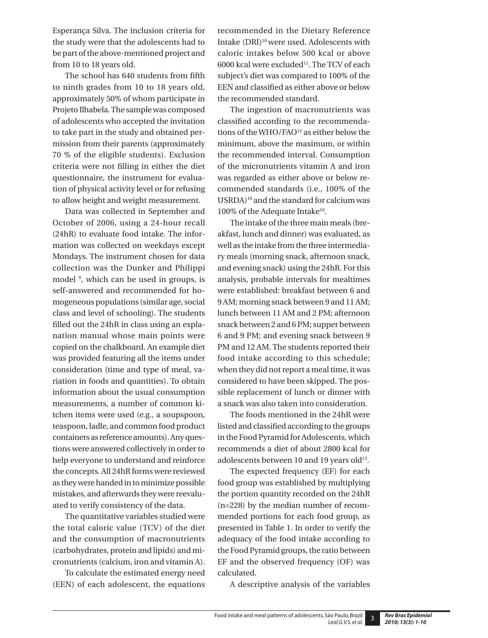Esperança Silva. The inclusion criteria for the study were that the adolescents had to be part of the above-mentioned project and from 10 to 18 years old.

The school has 640 students from fifth to ninth grades from 10 to 18 years old, approximately 50% of whom participate in Projeto Ilhabela. The sample was composed of adolescents who accepted the invitation to take part in the study and obtained permission from their parents (approximately 70 % of the eligible students). Exclusion criteria were not filling in either the diet questionnaire, the instrument for evaluation of physical activity level or for refusing to allow height and weight measurement.

Data was collected in September and October of 2006, using a 24-hour recall (24hR) to evaluate food intake. The information was collected on weekdays except Mondays. The instrument chosen for data collection was the Dunker and Philippi model <sup>9</sup>, which can be used in groups, is self-answered and recommended for homogeneous populations (similar age, social class and level of schooling). The students filled out the 24hR in class using an explanation manual whose main points were copied on the chalkboard. An example diet was provided featuring all the items under consideration (time and type of meal, variation in foods and quantities). To obtain information about the usual consumption measurements, a number of common kitchen items were used (e.g., a soupspoon, teaspoon, ladle, and common food product containers as reference amounts). Any questions were answered collectively in order to help everyone to understand and reinforce the concepts. All 24hR forms were reviewed as they were handed in to minimize possible mistakes, and afterwards they were reevaluated to verify consistency of the data.

The quantitative variables studied were the total caloric value (TCV) of the diet and the consumption of macronutrients (carbohydrates, protein and lipids) and micronutrients (calcium, iron and vitamin A).

To calculate the estimated energy need (EEN) of each adolescent, the equations recommended in the Dietary Reference Intake (DRI)<sup>10</sup> were used. Adolescents with caloric intakes below 500 kcal or above 6000 kcal were excluded<sup>11</sup>. The TCV of each subject's diet was compared to 100% of the EEN and classified as either above or below the recommended standard.

The ingestion of macronutrients was classified according to the recommendations of the WHO/FAO<sup>12</sup> as either below the minimum, above the maximum, or within the recommended interval. Consumption of the micronutrients vitamin A and iron was regarded as either above or below recommended standards (i.e., 100% of the USRDA)10 and the standard for calcium was 100% of the Adequate Intake<sup>10</sup>.

The intake of the three main meals (breakfast, lunch and dinner) was evaluated, as well as the intake from the three intermediary meals (morning snack, afternoon snack, and evening snack) using the 24hR. For this analysis, probable intervals for mealtimes were established: breakfast between 6 and 9 AM; morning snack between 9 and 11 AM; lunch between 11 AM and 2 PM; afternoon snack between 2 and 6 PM; supper between 6 and 9 PM; and evening snack between 9 PM and 12 AM. The students reported their food intake according to this schedule; when they did not report a meal time, it was considered to have been skipped. The possible replacement of lunch or dinner with a snack was also taken into consideration.

The foods mentioned in the 24hR were listed and classified according to the groups in the Food Pyramid for Adolescents, which recommends a diet of about 2800 kcal for adolescents between 10 and 19 years old<sup>13</sup>.

The expected frequency (EF) for each food group was established by multiplying the portion quantity recorded on the 24hR (n=228) by the median number of recommended portions for each food group, as presented in Table 1. In order to verify the adequacy of the food intake according to the Food Pyramid groups, the ratio between EF and the observed frequency (OF) was calculated.

A descriptive analysis of the variables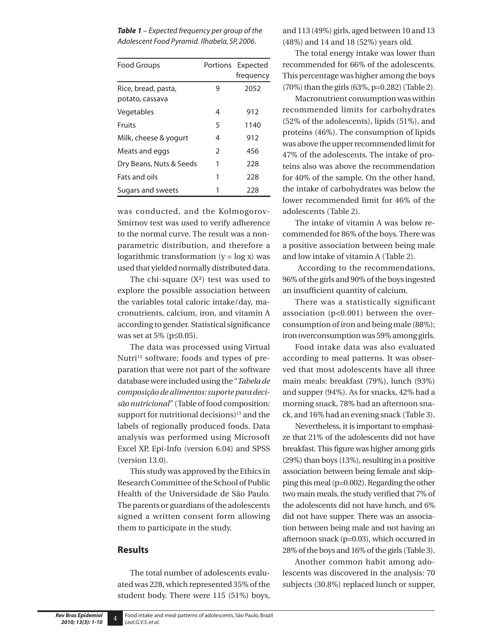*Table 1 – Expected frequency per group of the Adolescent Food Pyramid. Ilhabela, SP, 2006*.

| <b>Food Groups</b>                     |               | Portions Expected<br>frequency |
|----------------------------------------|---------------|--------------------------------|
| Rice, bread, pasta,<br>potato, cassava | 9             | 2052                           |
| Vegetables                             | 4             | 912                            |
| Fruits                                 | 5             | 1140                           |
| Milk, cheese & yogurt                  | 4             | 912                            |
| Meats and eggs                         | $\mathcal{P}$ | 456                            |
| Dry Beans, Nuts & Seeds                | 1             | 228                            |
| Fats and oils                          | 1             | 228                            |
| Sugars and sweets                      |               | 228                            |

was conducted, and the Kolmogorov-Smirnov test was used to verify adherence to the normal curve. The result was a nonparametric distribution, and therefore a logarithmic transformation  $(y = log x)$  was used that yielded normally distributed data.

The chi-square  $(X^2)$  test was used to explore the possible association between the variables total caloric intake/day, macronutrients, calcium, iron, and vitamin A according to gender. Statistical significance was set at 5% (p≤0.05).

The data was processed using Virtual Nutri<sup>14</sup> software; foods and types of preparation that were not part of the software database were included using the "*Tabela de composição de alimentos: suporte para decisão nutricional*" (Table of food composition: support for nutritional decisions)<sup>15</sup> and the labels of regionally produced foods. Data analysis was performed using Microsoft Excel XP, Epi-Info (version 6.04) and SPSS (version 13.0).

This study was approved by the Ethics in Research Committee of the School of Public Health of the Universidade de São Paulo. The parents or guardians of the adolescents signed a written consent form allowing them to participate in the study.

#### **Results**

The total number of adolescents evaluated was 228, which represented 35% of the student body. There were 115 (51%) boys,

and 113 (49%) girls, aged between 10 and 13 (48%) and 14 and 18 (52%) years old.

The total energy intake was lower than recommended for 66% of the adolescents. This percentage was higher among the boys (70%) than the girls (63%, p=0.282) (Table 2).

Macronutrient consumption was within recommended limits for carbohydrates (52% of the adolescents), lipids (51%), and proteins (46%). The consumption of lipids was above the upper recommended limit for 47% of the adolescents. The intake of proteins also was above the recommendation for 40% of the sample. On the other hand, the intake of carbohydrates was below the lower recommended limit for 46% of the adolescents (Table 2).

The intake of vitamin A was below recommended for 86% of the boys. There was a positive association between being male and low intake of vitamin A (Table 2).

 According to the recommendations, 96% of the girls and 90% of the boys ingested an insufficient quantity of calcium.

There was a statistically significant association (p<0.001) between the overconsumption of iron and being male (88%); iron overconsumption was 59% among girls.

Food intake data was also evaluated according to meal patterns. It was observed that most adolescents have all three main meals: breakfast (79%), lunch (93%) and supper (94%). As for snacks, 42% had a morning snack, 78% had an afternoon snack, and 16% had an evening snack (Table 3).

Nevertheless, it is important to emphasize that 21% of the adolescents did not have breakfast. This figure was higher among girls (29%) than boys (13%), resulting in a positive association between being female and skipping this meal (p=0.002). Regarding the other two main meals, the study verified that 7% of the adolescents did not have lunch, and 6% did not have supper. There was an association between being male and not having an afternoon snack (p=0.03), which occurred in 28% of the boys and 16% of the girls (Table 3).

Another common habit among adolescents was discovered in the analysis: 70 subjects (30.8%) replaced lunch or supper,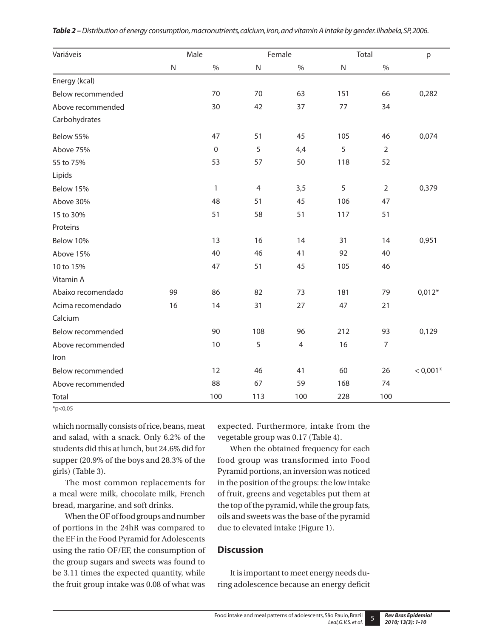| Variáveis          | Male<br>Female |              |                | Total          |     | p              |            |
|--------------------|----------------|--------------|----------------|----------------|-----|----------------|------------|
|                    | ${\sf N}$      | $\%$         | $\mathsf{N}$   | $\%$           | N   | $\%$           |            |
| Energy (kcal)      |                |              |                |                |     |                |            |
| Below recommended  |                | 70           | 70             | 63             | 151 | 66             | 0,282      |
| Above recommended  |                | 30           | 42             | 37             | 77  | 34             |            |
| Carbohydrates      |                |              |                |                |     |                |            |
| Below 55%          |                | 47           | 51             | 45             | 105 | 46             | 0,074      |
| Above 75%          |                | $\mathbf 0$  | 5              | 4,4            | 5   | $\overline{2}$ |            |
| 55 to 75%          |                | 53           | 57             | 50             | 118 | 52             |            |
| Lipids             |                |              |                |                |     |                |            |
| Below 15%          |                | $\mathbf{1}$ | $\overline{4}$ | 3,5            | 5   | $\overline{2}$ | 0,379      |
| Above 30%          |                | 48           | 51             | 45             | 106 | 47             |            |
| 15 to 30%          |                | 51           | 58             | 51             | 117 | 51             |            |
| Proteins           |                |              |                |                |     |                |            |
| Below 10%          |                | 13           | 16             | 14             | 31  | 14             | 0,951      |
| Above 15%          |                | 40           | 46             | 41             | 92  | 40             |            |
| 10 to 15%          |                | 47           | 51             | 45             | 105 | 46             |            |
| Vitamin A          |                |              |                |                |     |                |            |
| Abaixo recomendado | 99             | 86           | 82             | 73             | 181 | 79             | $0,012*$   |
| Acima recomendado  | 16             | 14           | 31             | 27             | 47  | 21             |            |
| Calcium            |                |              |                |                |     |                |            |
| Below recommended  |                | 90           | 108            | 96             | 212 | 93             | 0,129      |
| Above recommended  |                | 10           | 5              | $\overline{4}$ | 16  | 7              |            |
| Iron               |                |              |                |                |     |                |            |
| Below recommended  |                | 12           | 46             | 41             | 60  | 26             | $< 0.001*$ |
| Above recommended  |                | 88           | 67             | 59             | 168 | 74             |            |
| Total              |                | 100          | 113            | 100            | 228 | 100            |            |

|  |  |  |  |  | Table 2 – Distribution of energy consumption, macronutrients, calcium, iron, and vitamin A intake by gender. Ilhabela, SP, 2006. |
|--|--|--|--|--|----------------------------------------------------------------------------------------------------------------------------------|
|--|--|--|--|--|----------------------------------------------------------------------------------------------------------------------------------|

 $*p<0.05$ 

which normally consists of rice, beans, meat and salad, with a snack. Only 6.2% of the students did this at lunch, but 24.6% did for supper (20.9% of the boys and 28.3% of the girls) (Table 3).

The most common replacements for a meal were milk, chocolate milk, French bread, margarine, and soft drinks.

When the OF of food groups and number of portions in the 24hR was compared to the EF in the Food Pyramid for Adolescents using the ratio OF/EF, the consumption of the group sugars and sweets was found to be 3.11 times the expected quantity, while the fruit group intake was 0.08 of what was

expected. Furthermore, intake from the vegetable group was 0.17 (Table 4).

When the obtained frequency for each food group was transformed into Food Pyramid portions, an inversion was noticed in the position of the groups: the low intake of fruit, greens and vegetables put them at the top of the pyramid, while the group fats, oils and sweets was the base of the pyramid due to elevated intake (Figure 1).

### **Discussion**

It is important to meet energy needs during adolescence because an energy deficit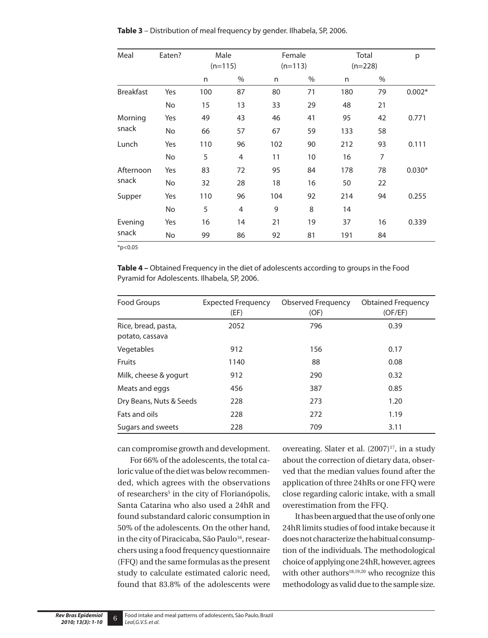| Meal<br>Eaten?     |     | Male<br>$(n=115)$ |      | Female<br>$(n=113)$ |      | Total<br>$(n=228)$ |    | р        |
|--------------------|-----|-------------------|------|---------------------|------|--------------------|----|----------|
|                    |     | n                 | $\%$ | n                   | $\%$ | n                  | %  |          |
| <b>Breakfast</b>   | Yes | 100               | 87   | 80                  | 71   | 180                | 79 | $0.002*$ |
|                    | No  | 15                | 13   | 33                  | 29   | 48                 | 21 |          |
| Morning<br>snack   | Yes | 49                | 43   | 46                  | 41   | 95                 | 42 | 0.771    |
|                    | No  | 66                | 57   | 67                  | 59   | 133                | 58 |          |
| Lunch              | Yes | 110               | 96   | 102                 | 90   | 212                | 93 | 0.111    |
|                    | No  | 5                 | 4    | 11                  | 10   | 16                 | 7  |          |
| Afternoon<br>snack | Yes | 83                | 72   | 95                  | 84   | 178                | 78 | $0.030*$ |
|                    | No. | 32                | 28   | 18                  | 16   | 50                 | 22 |          |
| Supper             | Yes | 110               | 96   | 104                 | 92   | 214                | 94 | 0.255    |
|                    | No  | 5                 | 4    | 9                   | 8    | 14                 |    |          |
| Evening<br>snack   | Yes | 16                | 14   | 21                  | 19   | 37                 | 16 | 0.339    |
|                    | No. | 99                | 86   | 92                  | 81   | 191                | 84 |          |

**Table 3** – Distribution of meal frequency by gender. Ilhabela, SP, 2006.

 $*p<0.05$ 

**Table 4 –** Obtained Frequency in the diet of adolescents according to groups in the Food Pyramid for Adolescents. Ilhabela, SP, 2006.

| Food Groups                            | <b>Expected Frequency</b><br>(EF) | <b>Observed Frequency</b><br>(OF) | <b>Obtained Frequency</b><br>(OF/EF) |
|----------------------------------------|-----------------------------------|-----------------------------------|--------------------------------------|
| Rice, bread, pasta,<br>potato, cassava | 2052                              | 796                               | 0.39                                 |
| Vegetables                             | 912                               | 156                               | 0.17                                 |
| <b>Fruits</b>                          | 1140                              | 88                                | 0.08                                 |
| Milk, cheese & yogurt                  | 912                               | 290                               | 0.32                                 |
| Meats and eggs                         | 456                               | 387                               | 0.85                                 |
| Dry Beans, Nuts & Seeds                | 228                               | 273                               | 1.20                                 |
| Fats and oils                          | 228                               | 272                               | 1.19                                 |
| Sugars and sweets                      | 228                               | 709                               | 3.11                                 |

can compromise growth and development.

For 66% of the adolescents, the total caloric value of the diet was below recommended, which agrees with the observations of researchers<sup>5</sup> in the city of Florianópolis, Santa Catarina who also used a 24hR and found substandard caloric consumption in 50% of the adolescents. On the other hand, in the city of Piracicaba, São Paulo<sup>16</sup>, researchers using a food frequency questionnaire (FFQ) and the same formulas as the present study to calculate estimated caloric need, found that 83.8% of the adolescents were

overeating. Slater et al.  $(2007)^{17}$ , in a study about the correction of dietary data, observed that the median values found after the application of three 24hRs or one FFQ were close regarding caloric intake, with a small overestimation from the FFQ.

It has been argued that the use of only one 24hR limits studies of food intake because it does not characterize the habitual consumption of the individuals. The methodological choice of applying one 24hR, however, agrees with other authors<sup>18,19,20</sup> who recognize this methodology as valid due to the sample size.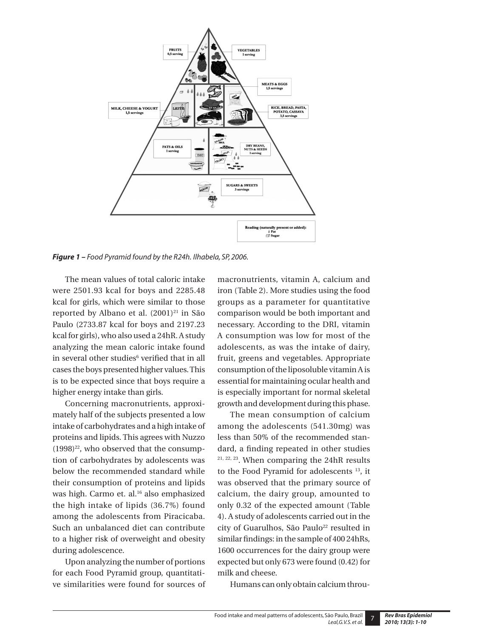

*Figure 1 – Food Pyramid found by the R24h. Ilhabela, SP, 2006.*

The mean values of total caloric intake were 2501.93 kcal for boys and 2285.48 kcal for girls, which were similar to those reported by Albano et al.  $(2001)^{21}$  in São Paulo (2733.87 kcal for boys and 2197.23 kcal for girls), who also used a 24hR. A study analyzing the mean caloric intake found in several other studies<sup>6</sup> verified that in all cases the boys presented higher values. This is to be expected since that boys require a higher energy intake than girls.

Concerning macronutrients, approximately half of the subjects presented a low intake of carbohydrates and a high intake of proteins and lipids. This agrees with Nuzzo  $(1998)^{22}$ , who observed that the consumption of carbohydrates by adolescents was below the recommended standard while their consumption of proteins and lipids was high. Carmo et. al.<sup>16</sup> also emphasized the high intake of lipids (36.7%) found among the adolescents from Piracicaba. Such an unbalanced diet can contribute to a higher risk of overweight and obesity during adolescence.

Upon analyzing the number of portions for each Food Pyramid group, quantitative similarities were found for sources of macronutrients, vitamin A, calcium and iron (Table 2). More studies using the food groups as a parameter for quantitative comparison would be both important and necessary. According to the DRI, vitamin A consumption was low for most of the adolescents, as was the intake of dairy, fruit, greens and vegetables. Appropriate consumption of the liposoluble vitamin A is essential for maintaining ocular health and is especially important for normal skeletal growth and development during this phase.

The mean consumption of calcium among the adolescents (541.30mg) was less than 50% of the recommended standard, a finding repeated in other studies 21, 22, 23. When comparing the 24hR results to the Food Pyramid for adolescents 13, it was observed that the primary source of calcium, the dairy group, amounted to only 0.32 of the expected amount (Table 4). A study of adolescents carried out in the city of Guarulhos, São Paulo<sup>22</sup> resulted in similar findings: in the sample of 400 24hRs, 1600 occurrences for the dairy group were expected but only 673 were found (0.42) for milk and cheese.

Humans can only obtain calcium throu-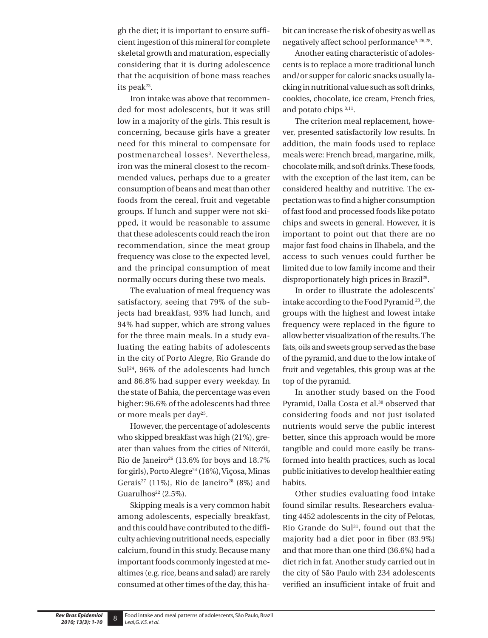gh the diet; it is important to ensure sufficient ingestion of this mineral for complete skeletal growth and maturation, especially considering that it is during adolescence that the acquisition of bone mass reaches its peak<sup>23</sup>.

Iron intake was above that recommended for most adolescents, but it was still low in a majority of the girls. This result is concerning, because girls have a greater need for this mineral to compensate for postmenarcheal losses<sup>3</sup>. Nevertheless, iron was the mineral closest to the recommended values, perhaps due to a greater consumption of beans and meat than other foods from the cereal, fruit and vegetable groups. If lunch and supper were not skipped, it would be reasonable to assume that these adolescents could reach the iron recommendation, since the meat group frequency was close to the expected level, and the principal consumption of meat normally occurs during these two meals.

The evaluation of meal frequency was satisfactory, seeing that 79% of the subjects had breakfast, 93% had lunch, and 94% had supper, which are strong values for the three main meals. In a study evaluating the eating habits of adolescents in the city of Porto Alegre, Rio Grande do Sul24, 96% of the adolescents had lunch and 86.8% had supper every weekday. In the state of Bahia, the percentage was even higher: 96.6% of the adolescents had three or more meals per day<sup>25</sup>.

However, the percentage of adolescents who skipped breakfast was high (21%), greater than values from the cities of Niterói, Rio de Janeiro<sup>26</sup> (13.6% for boys and 18.7%) for girls), Porto Alegre<sup>24</sup> (16%), Viçosa, Minas Gerais<sup>27</sup> (11%), Rio de Janeiro<sup>28</sup> (8%) and Guarulhos<sup>22</sup> (2.5%).

Skipping meals is a very common habit among adolescents, especially breakfast, and this could have contributed to the difficulty achieving nutritional needs, especially calcium, found in this study. Because many important foods commonly ingested at mealtimes (e.g. rice, beans and salad) are rarely consumed at other times of the day, this habit can increase the risk of obesity as well as negatively affect school performance<sup>3, 26,28</sup>.

Another eating characteristic of adolescents is to replace a more traditional lunch and/or supper for caloric snacks usually lacking in nutritional value such as soft drinks, cookies, chocolate, ice cream, French fries, and potato chips 3,11.

The criterion meal replacement, however, presented satisfactorily low results. In addition, the main foods used to replace meals were: French bread, margarine, milk, chocolate milk, and soft drinks. These foods, with the exception of the last item, can be considered healthy and nutritive. The expectation was to find a higher consumption of fast food and processed foods like potato chips and sweets in general. However, it is important to point out that there are no major fast food chains in Ilhabela, and the access to such venues could further be limited due to low family income and their disproportionately high prices in Brazil<sup>29</sup>.

In order to illustrate the adolescents' intake according to the Food Pyramid 23, the groups with the highest and lowest intake frequency were replaced in the figure to allow better visualization of the results. The fats, oils and sweets group served as the base of the pyramid, and due to the low intake of fruit and vegetables, this group was at the top of the pyramid.

In another study based on the Food Pyramid, Dalla Costa et al.<sup>30</sup> observed that considering foods and not just isolated nutrients would serve the public interest better, since this approach would be more tangible and could more easily be transformed into health practices, such as local public initiatives to develop healthier eating habits.

Other studies evaluating food intake found similar results. Researchers evaluating 4452 adolescents in the city of Pelotas, Rio Grande do Sul<sup>31</sup>, found out that the majority had a diet poor in fiber (83.9%) and that more than one third (36.6%) had a diet rich in fat. Another study carried out in the city of São Paulo with 234 adolescents verified an insufficient intake of fruit and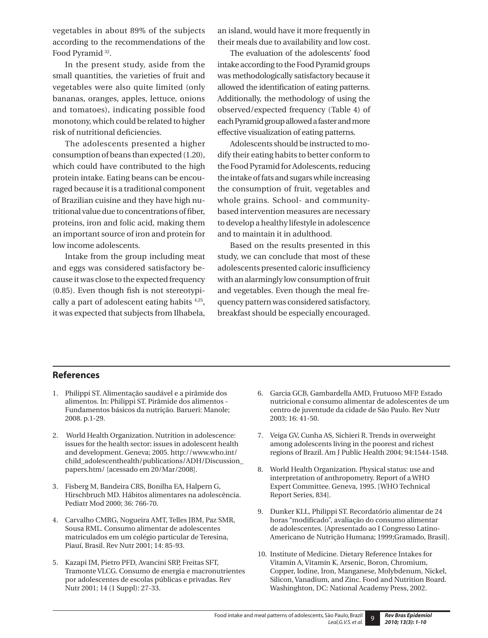vegetables in about 89% of the subjects according to the recommendations of the Food Pyramid<sup>32</sup>.

In the present study, aside from the small quantities, the varieties of fruit and vegetables were also quite limited (only bananas, oranges, apples, lettuce, onions and tomatoes), indicating possible food monotony, which could be related to higher risk of nutritional deficiencies.

The adolescents presented a higher consumption of beans than expected (1.20), which could have contributed to the high protein intake. Eating beans can be encouraged because it is a traditional component of Brazilian cuisine and they have high nutritional value due to concentrations of fiber, proteins, iron and folic acid, making them an important source of iron and protein for low income adolescents.

Intake from the group including meat and eggs was considered satisfactory because it was close to the expected frequency (0.85). Even though fish is not stereotypically a part of adolescent eating habits 4,25, it was expected that subjects from Ilhabela,

an island, would have it more frequently in their meals due to availability and low cost.

The evaluation of the adolescents' food intake according to the Food Pyramid groups was methodologically satisfactory because it allowed the identification of eating patterns. Additionally, the methodology of using the observed/expected frequency (Table 4) of each Pyramid group allowed a faster and more effective visualization of eating patterns.

Adolescents should be instructed to modify their eating habits to better conform to the Food Pyramid for Adolescents, reducing the intake of fats and sugars while increasing the consumption of fruit, vegetables and whole grains. School- and communitybased intervention measures are necessary to develop a healthy lifestyle in adolescence and to maintain it in adulthood.

Based on the results presented in this study, we can conclude that most of these adolescents presented caloric insufficiency with an alarmingly low consumption of fruit and vegetables. Even though the meal frequency pattern was considered satisfactory, breakfast should be especially encouraged.

#### **References**

- 1. Philippi ST. Alimentação saudável e a pirâmide dos alimentos. In: Philippi ST. Pirâmide dos alimentos - Fundamentos básicos da nutrição. Barueri: Manole; 2008. p.1-29.
- 2. World Health Organization. Nutrition in adolescence: issues for the health sector: issues in adolescent health and development. Geneva; 2005. http://www.who.int/ child\_adolescenthealth/publications/ADH/Discussion\_ papers.htm/ [acessado em 20/Mar/2008].
- 3. Fisberg M, Bandeira CRS, Bonilha EA, Halpern G, Hirschbruch MD. Hábitos alimentares na adolescência. Pediatr Mod 2000; 36: 766-70.
- 4. Carvalho CMRG, Nogueira AMT, Telles JBM, Paz SMR, Sousa RML. Consumo alimentar de adolescentes matriculados em um colégio particular de Teresina, Piauí, Brasil. Rev Nutr 2001; 14: 85-93.
- 5. Kazapi IM, Pietro PFD, Avancini SRP, Freitas SFT, Tramonte VLCG. Consumo de energia e macronutrientes por adolescentes de escolas públicas e privadas. Rev Nutr 2001; 14 (1 Suppl): 27-33.
- 6. Garcia GCB, Gambardella AMD, Frutuoso MFP. Estado nutricional e consumo alimentar de adolescentes de um centro de juventude da cidade de São Paulo. Rev Nutr 2003; 16: 41-50.
- 7. Veiga GV, Cunha AS, Sichieri R. Trends in overweight among adolescents living in the poorest and richest regions of Brazil. Am J Public Health 2004; 94:1544-1548.
- 8. World Health Organization. Physical status: use and interpretation of anthropometry. Report of a WHO Expert Committee. Geneva, 1995. [WHO Technical Report Series, 834].
- 9. Dunker KLL, Philippi ST. Recordatório alimentar de 24 horas "modificado", avaliação do consumo alimentar de adolescentes. [Apresentado ao I Congresso Latino-Americano de Nutrição Humana; 1999;Gramado, Brasil].
- 10. Institute of Medicine. Dietary Reference Intakes for Vitamin A, Vitamin K, Arsenic, Boron, Chromium, Copper, Iodine, Iron, Manganese, Molybdenum, Nickel, Silicon, Vanadium, and Zinc. Food and Nutrition Board. Washinghton, DC: National Academy Press, 2002.

9 *Rev Bras Epidemiol 2010; 13(3): 1-10*